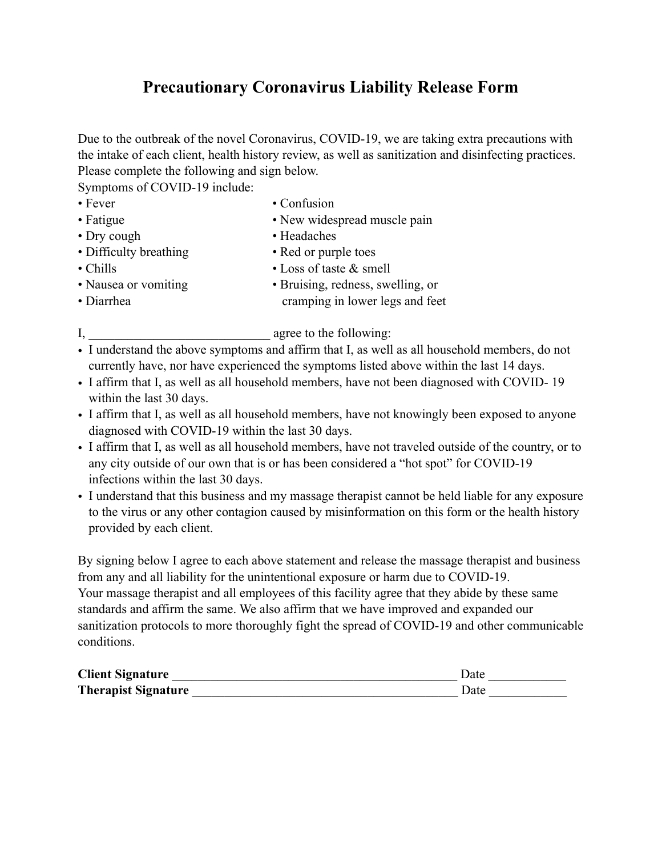## **Precautionary Coronavirus Liability Release Form**

Due to the outbreak of the novel Coronavirus, COVID-19, we are taking extra precautions with the intake of each client, health history review, as well as sanitization and disinfecting practices. Please complete the following and sign below.

Symptoms of COVID-19 include:

- 
- Fever Confusion
- Fatigue New widespread muscle pain
- Dry cough Headaches
- Difficulty breathing Red or purple toes
- Chills Loss of taste & smell
- -
- Nausea or vomiting Bruising, redness, swelling, or • Diarrhea cramping in lower legs and feet
- 

I, agree to the following:

- I understand the above symptoms and affirm that I, as well as all household members, do not currently have, nor have experienced the symptoms listed above within the last 14 days.
- I affirm that I, as well as all household members, have not been diagnosed with COVID- 19 within the last 30 days.
- I affirm that I, as well as all household members, have not knowingly been exposed to anyone diagnosed with COVID-19 within the last 30 days.
- I affirm that I, as well as all household members, have not traveled outside of the country, or to any city outside of our own that is or has been considered a "hot spot" for COVID-19 infections within the last 30 days.
- I understand that this business and my massage therapist cannot be held liable for any exposure to the virus or any other contagion caused by misinformation on this form or the health history provided by each client.

By signing below I agree to each above statement and release the massage therapist and business from any and all liability for the unintentional exposure or harm due to COVID-19. Your massage therapist and all employees of this facility agree that they abide by these same standards and affirm the same. We also affirm that we have improved and expanded our sanitization protocols to more thoroughly fight the spread of COVID-19 and other communicable conditions.

| <b>Client Signature</b>    | ⊅ate |
|----------------------------|------|
| <b>Therapist Signature</b> | Date |